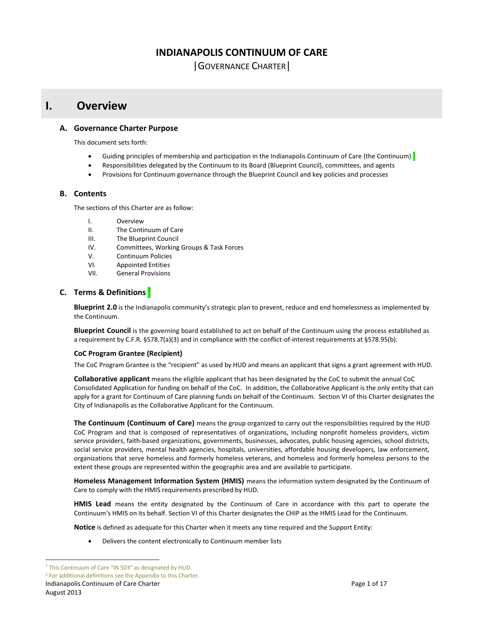# **INDIANAPOLIS CONTINUUM OF CARE**

|GOVERNANCE CHARTER|

# **I. Overview**

# **A. Governance Charter Purpose**

This document sets forth:

- Guiding principles of membership and participation in the Indianapolis Continuum of Care (the Continuum) **<sup>1</sup>**
- Responsibilities delegated by the Continuum to its Board (Blueprint Council), committees, and agents
- Provisions for Continuum governance through the Blueprint Council and key policies and processes

# **B. Contents**

The sections of this Charter are as follow:

- I. Overview
- II. The Continuum of Care
- III. The Blueprint Council
- IV. Committees, Working Groups & Task Forces
- V. Continuum Policies
- VI. Appointed Entities
- VII. General Provisions

# **C. Terms & Definitions <sup>2</sup>**

**Blueprint 2.0** is the Indianapolis community's strategic plan to prevent, reduce and end homelessness as implemented by the Continuum.

**Blueprint Council** is the governing board established to act on behalf of the Continuum using the process established as a requirement by C.F.R. §578.7(a)(3) and in compliance with the conflict-of-interest requirements at §578.95(b).

# **CoC Program Grantee (Recipient)**

The CoC Program Grantee is the "recipient" as used by HUD and means an applicant that signs a grant agreement with HUD.

**Collaborative applicant** means the eligible applicant that has been designated by the CoC to submit the annual CoC Consolidated Application for funding on behalf of the CoC. In addition, the Collaborative Applicant is the only entity that can apply for a grant for Continuum of Care planning funds on behalf of the Continuum. Section VI of this Charter designates the City of Indianapolis as the Collaborative Applicant for the Continuum.

**The Continuum (Continuum of Care)** means the group organized to carry out the responsibilities required by the HUD CoC Program and that is composed of representatives of organizations, including nonprofit homeless providers, victim service providers, faith-based organizations, governments, businesses, advocates, public housing agencies, school districts, social service providers, mental health agencies, hospitals, universities, affordable housing developers, law enforcement, organizations that serve homeless and formerly homeless veterans, and homeless and formerly homeless persons to the extent these groups are represented within the geographic area and are available to participate.

**Homeless Management Information System (HMIS)** means the information system designated by the Continuum of Care to comply with the HMIS requirements prescribed by HUD.

**HMIS Lead** means the entity designated by the Continuum of Care in accordance with this part to operate the Continuum's HMIS on its behalf. Section VI of this Charter designates the CHIP as the HMIS Lead for the Continuum.

**Notice** is defined as adequate for this Charter when it meets any time required and the Support Entity:

Delivers the content electronically to Continuum member lists

Indianapolis Continuum of Care Charter **Page 1** of 17

 $\overline{a}$ 

<sup>&</sup>lt;sup>1</sup> This Continuum of Care "IN 503" as designated by HUD.

<sup>2</sup> For additional definitions see the Appendix to this Charter.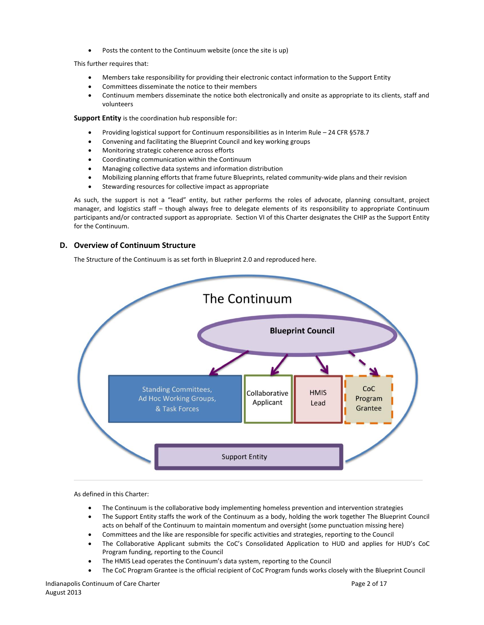Posts the content to the Continuum website (once the site is up)

This further requires that:

- Members take responsibility for providing their electronic contact information to the Support Entity
- Committees disseminate the notice to their members
- Continuum members disseminate the notice both electronically and onsite as appropriate to its clients, staff and volunteers

**Support Entity** is the coordination hub responsible for:

- Providing logistical support for Continuum responsibilities as in Interim Rule 24 CFR §578.7
- Convening and facilitating the Blueprint Council and key working groups
- Monitoring strategic coherence across efforts
- Coordinating communication within the Continuum
- Managing collective data systems and information distribution
- Mobilizing planning efforts that frame future Blueprints, related community-wide plans and their revision
- Stewarding resources for collective impact as appropriate

As such, the support is not a "lead" entity, but rather performs the roles of advocate, planning consultant, project manager, and logistics staff – though always free to delegate elements of its responsibility to appropriate Continuum participants and/or contracted support as appropriate. Section VI of this Charter designates the CHIP as the Support Entity for the Continuum.

# **D. Overview of Continuum Structure**

The Structure of the Continuum is as set forth in Blueprint 2.0 and reproduced here.



As defined in this Charter:

- The Continuum is the collaborative body implementing homeless prevention and intervention strategies
- The Support Entity staffs the work of the Continuum as a body, holding the work together The Blueprint Council acts on behalf of the Continuum to maintain momentum and oversight (some punctuation missing here)
- Committees and the like are responsible for specific activities and strategies, reporting to the Council
- The Collaborative Applicant submits the CoC's Consolidated Application to HUD and applies for HUD's CoC Program funding, reporting to the Council
- The HMIS Lead operates the Continuum's data system, reporting to the Council
- The CoC Program Grantee is the official recipient of CoC Program funds works closely with the Blueprint Council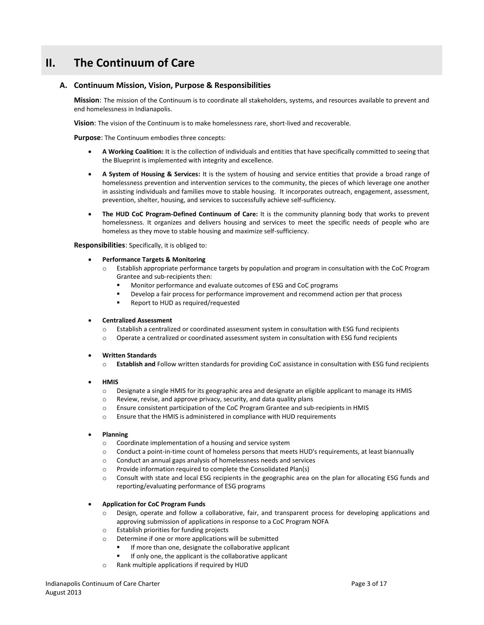# **II. The Continuum of Care**

# **A. Continuum Mission, Vision, Purpose & Responsibilities**

**Mission**: The mission of the Continuum is to coordinate all stakeholders, systems, and resources available to prevent and end homelessness in Indianapolis.

**Vision**: The vision of the Continuum is to make homelessness rare, short-lived and recoverable.

**Purpose**: The Continuum embodies three concepts:

- **A Working Coalition:** It is the collection of individuals and entities that have specifically committed to seeing that the Blueprint is implemented with integrity and excellence.
- **A System of Housing & Services:** It is the system of housing and service entities that provide a broad range of homelessness prevention and intervention services to the community, the pieces of which leverage one another in assisting individuals and families move to stable housing. It incorporates outreach, engagement, assessment, prevention, shelter, housing, and services to successfully achieve self-sufficiency.
- **The HUD CoC Program-Defined Continuum of Care:** It is the community planning body that works to prevent homelessness. It organizes and delivers housing and services to meet the specific needs of people who are homeless as they move to stable housing and maximize self-sufficiency.

**Responsibilities**: Specifically, it is obliged to:

- **Performance Targets & Monitoring**
	- o Establish appropriate performance targets by population and program in consultation with the CoC Program Grantee and sub-recipients then:
		- Monitor performance and evaluate outcomes of ESG and CoC programs
		- Develop a fair process for performance improvement and recommend action per that process
		- Report to HUD as required/requested

### **Centralized Assessment**

- o Establish a centralized or coordinated assessment system in consultation with ESG fund recipients
- o Operate a centralized or coordinated assessment system in consultation with ESG fund recipients
- **Written Standards**
	- Establish and Follow written standards for providing CoC assistance in consultation with ESG fund recipients
- **HMIS**
	- o Designate a single HMIS for its geographic area and designate an eligible applicant to manage its HMIS
	- o Review, revise, and approve privacy, security, and data quality plans
	- o Ensure consistent participation of the CoC Program Grantee and sub-recipients in HMIS
	- o Ensure that the HMIS is administered in compliance with HUD requirements

#### **Planning**

- o Coordinate implementation of a housing and service system
- o Conduct a point-in-time count of homeless persons that meets HUD's requirements, at least biannually
- o Conduct an annual gaps analysis of homelessness needs and services
- o Provide information required to complete the Consolidated Plan(s)
- o Consult with state and local ESG recipients in the geographic area on the plan for allocating ESG funds and reporting/evaluating performance of ESG programs

### **Application for CoC Program Funds**

- Design, operate and follow a collaborative, fair, and transparent process for developing applications and approving submission of applications in response to a CoC Program NOFA
- o Establish priorities for funding projects
- o Determine if one or more applications will be submitted
	- If more than one, designate the collaborative applicant
	- If only one, the applicant is the collaborative applicant
- o Rank multiple applications if required by HUD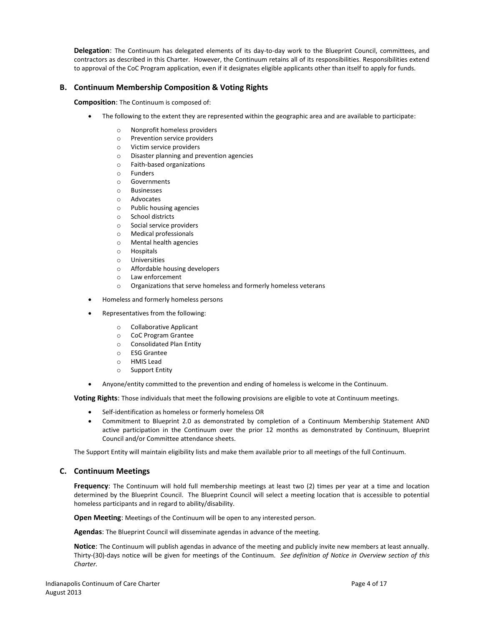**Delegation**: The Continuum has delegated elements of its day-to-day work to the Blueprint Council, committees, and contractors as described in this Charter. However, the Continuum retains all of its responsibilities. Responsibilities extend to approval of the CoC Program application, even if it designates eligible applicants other than itself to apply for funds.

# **B. Continuum Membership Composition & Voting Rights**

**Composition**: The Continuum is composed of:

- The following to the extent they are represented within the geographic area and are available to participate:
	- o Nonprofit homeless providers
	- o Prevention service providers
	- o Victim service providers
	- o Disaster planning and prevention agencies
	- o Faith-based organizations
	- o Funders
	- o Governments
	- o Businesses
	- o Advocates
	- o Public housing agencies
	- o School districts
	- o Social service providers
	- o Medical professionals
	- o Mental health agencies
	- o Hospitals
	- o Universities
	- o Affordable housing developers
	- o Law enforcement
	- o Organizations that serve homeless and formerly homeless veterans
- Homeless and formerly homeless persons
- Representatives from the following:
	- o Collaborative Applicant
	- o CoC Program Grantee
	- o Consolidated Plan Entity
	- o ESG Grantee
	- o HMIS Lead
	- o Support Entity
- Anyone/entity committed to the prevention and ending of homeless is welcome in the Continuum.

**Voting Rights**: Those individuals that meet the following provisions are eligible to vote at Continuum meetings.

- Self-identification as homeless or formerly homeless OR
- Commitment to Blueprint 2.0 as demonstrated by completion of a Continuum Membership Statement AND active participation in the Continuum over the prior 12 months as demonstrated by Continuum, Blueprint Council and/or Committee attendance sheets.

The Support Entity will maintain eligibility lists and make them available prior to all meetings of the full Continuum.

# **C. Continuum Meetings**

**Frequency**: The Continuum will hold full membership meetings at least two (2) times per year at a time and location determined by the Blueprint Council. The Blueprint Council will select a meeting location that is accessible to potential homeless participants and in regard to ability/disability.

**Open Meeting**: Meetings of the Continuum will be open to any interested person.

**Agendas**: The Blueprint Council will disseminate agendas in advance of the meeting.

**Notice**: The Continuum will publish agendas in advance of the meeting and publicly invite new members at least annually. Thirty-(30)-days notice will be given for meetings of the Continuum. *See definition of Notice in Overview section of this Charter.*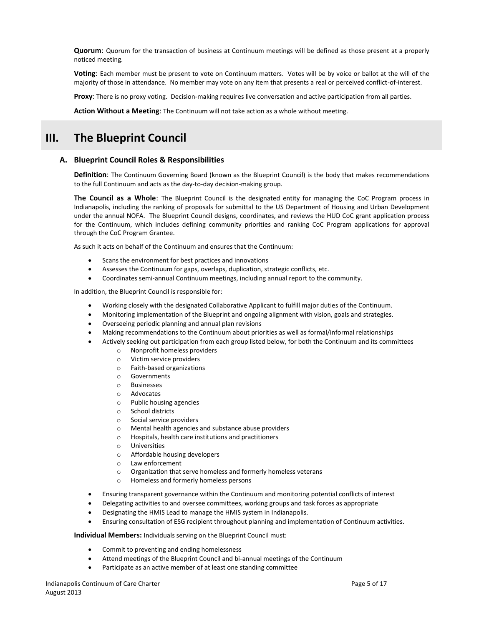**Quorum**: Quorum for the transaction of business at Continuum meetings will be defined as those present at a properly noticed meeting.

**Voting**: Each member must be present to vote on Continuum matters. Votes will be by voice or ballot at the will of the majority of those in attendance. No member may vote on any item that presents a real or perceived conflict-of-interest.

**Proxy**: There is no proxy voting. Decision-making requires live conversation and active participation from all parties.

**Action Without a Meeting**: The Continuum will not take action as a whole without meeting.

# **III. The Blueprint Council**

# **A. Blueprint Council Roles & Responsibilities**

**Definition**: The Continuum Governing Board (known as the Blueprint Council) is the body that makes recommendations to the full Continuum and acts as the day-to-day decision-making group.

**The Council as a Whole**: The Blueprint Council is the designated entity for managing the CoC Program process in Indianapolis, including the ranking of proposals for submittal to the US Department of Housing and Urban Development under the annual NOFA. The Blueprint Council designs, coordinates, and reviews the HUD CoC grant application process for the Continuum, which includes defining community priorities and ranking CoC Program applications for approval through the CoC Program Grantee.

As such it acts on behalf of the Continuum and ensures that the Continuum:

- Scans the environment for best practices and innovations
- Assesses the Continuum for gaps, overlaps, duplication, strategic conflicts, etc.
- Coordinates semi-annual Continuum meetings, including annual report to the community.

In addition, the Blueprint Council is responsible for:

- Working closely with the designated Collaborative Applicant to fulfill major duties of the Continuum.
- Monitoring implementation of the Blueprint and ongoing alignment with vision, goals and strategies.
- Overseeing periodic planning and annual plan revisions
- Making recommendations to the Continuum about priorities as well as formal/informal relationships
- Actively seeking out participation from each group listed below, for both the Continuum and its committees
	- o Nonprofit homeless providers
	- o Victim service providers
	- o Faith-based organizations
	- o Governments
	- o Businesses
	- o Advocates
	- o Public housing agencies
	- o School districts
	- o Social service providers
	- o Mental health agencies and substance abuse providers
	- o Hospitals, health care institutions and practitioners
	- o Universities
	- o Affordable housing developers
	- o Law enforcement
	- o Organization that serve homeless and formerly homeless veterans
	- o Homeless and formerly homeless persons
- Ensuring transparent governance within the Continuum and monitoring potential conflicts of interest
- Delegating activities to and oversee committees, working groups and task forces as appropriate
- Designating the HMIS Lead to manage the HMIS system in Indianapolis.
- Ensuring consultation of ESG recipient throughout planning and implementation of Continuum activities.

### **Individual Members:** Individuals serving on the Blueprint Council must:

- Commit to preventing and ending homelessness
- Attend meetings of the Blueprint Council and bi-annual meetings of the Continuum
- Participate as an active member of at least one standing committee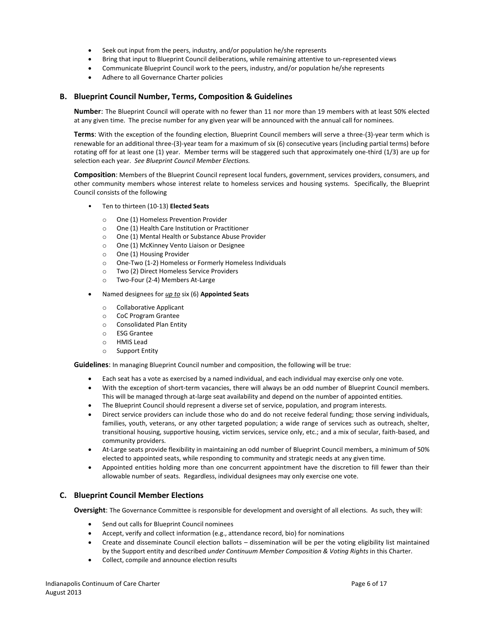- Seek out input from the peers, industry, and/or population he/she represents
- Bring that input to Blueprint Council deliberations, while remaining attentive to un-represented views
- Communicate Blueprint Council work to the peers, industry, and/or population he/she represents
- Adhere to all Governance Charter policies

# **B. Blueprint Council Number, Terms, Composition & Guidelines**

**Number**: The Blueprint Council will operate with no fewer than 11 nor more than 19 members with at least 50% elected at any given time. The precise number for any given year will be announced with the annual call for nominees.

**Terms**: With the exception of the founding election, Blueprint Council members will serve a three-(3)-year term which is renewable for an additional three-(3)-year team for a maximum of six (6) consecutive years (including partial terms) before rotating off for at least one (1) year. Member terms will be staggered such that approximately one-third (1/3) are up for selection each year. *See Blueprint Council Member Elections.* 

**Composition**: Members of the Blueprint Council represent local funders, government, services providers, consumers, and other community members whose interest relate to homeless services and housing systems. Specifically, the Blueprint Council consists of the following

- Ten to thirteen (10-13) **Elected Seats**
	- o One (1) Homeless Prevention Provider
	- o One (1) Health Care Institution or Practitioner
	- o One (1) Mental Health or Substance Abuse Provider
	- o One (1) McKinney Vento Liaison or Designee
	- o One (1) Housing Provider
	- o One-Two (1-2) Homeless or Formerly Homeless Individuals
	- o Two (2) Direct Homeless Service Providers
	- o Two-Four (2-4) Members At-Large
- Named designees for *up to* six (6) **Appointed Seats**
	- o Collaborative Applicant
	- o CoC Program Grantee
	- o Consolidated Plan Entity
	- o ESG Grantee
	- o HMIS Lead
	- o Support Entity

**Guidelines**: In managing Blueprint Council number and composition, the following will be true:

- Each seat has a vote as exercised by a named individual, and each individual may exercise only one vote.
- With the exception of short-term vacancies, there will always be an odd number of Blueprint Council members. This will be managed through at-large seat availability and depend on the number of appointed entities.
- The Blueprint Council should represent a diverse set of service, population, and program interests.
- Direct service providers can include those who do and do not receive federal funding; those serving individuals, families, youth, veterans, or any other targeted population; a wide range of services such as outreach, shelter, transitional housing, supportive housing, victim services, service only, etc.; and a mix of secular, faith-based, and community providers.
- At-Large seats provide flexibility in maintaining an odd number of Blueprint Council members, a minimum of 50% elected to appointed seats, while responding to community and strategic needs at any given time.
- Appointed entities holding more than one concurrent appointment have the discretion to fill fewer than their allowable number of seats. Regardless, individual designees may only exercise one vote.

# **C. Blueprint Council Member Elections**

**Oversight**: The Governance Committee is responsible for development and oversight of all elections. As such, they will:

- Send out calls for Blueprint Council nominees
- Accept, verify and collect information (e.g., attendance record, bio) for nominations
- Create and disseminate Council election ballots dissemination will be per the voting eligibility list maintained by the Support entity and described *under Continuum Member Composition & Voting Rights* in this Charter.
- Collect, compile and announce election results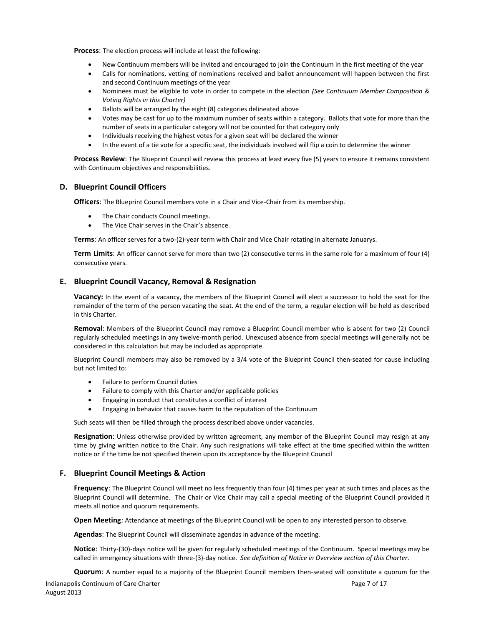**Process**: The election process will include at least the following:

- New Continuum members will be invited and encouraged to join the Continuum in the first meeting of the year
- Calls for nominations, vetting of nominations received and ballot announcement will happen between the first and second Continuum meetings of the year
- Nominees must be eligible to vote in order to compete in the election *(See Continuum Member Composition & Voting Rights in this Charter)*
- Ballots will be arranged by the eight (8) categories delineated above
- Votes may be cast for up to the maximum number of seats within a category. Ballots that vote for more than the number of seats in a particular category will not be counted for that category only
- Individuals receiving the highest votes for a given seat will be declared the winner
- In the event of a tie vote for a specific seat, the individuals involved will flip a coin to determine the winner

**Process Review**: The Blueprint Council will review this process at least every five (5) years to ensure it remains consistent with Continuum objectives and responsibilities.

# **D. Blueprint Council Officers**

**Officers**: The Blueprint Council members vote in a Chair and Vice-Chair from its membership.

- The Chair conducts Council meetings.
- The Vice Chair serves in the Chair's absence.

**Terms**: An officer serves for a two-(2)-year term with Chair and Vice Chair rotating in alternate Januarys.

**Term Limits**: An officer cannot serve for more than two (2) consecutive terms in the same role for a maximum of four (4) consecutive years.

# **E. Blueprint Council Vacancy, Removal & Resignation**

**Vacancy:** In the event of a vacancy, the members of the Blueprint Council will elect a successor to hold the seat for the remainder of the term of the person vacating the seat. At the end of the term, a regular election will be held as described in this Charter.

**Removal**: Members of the Blueprint Council may remove a Blueprint Council member who is absent for two (2) Council regularly scheduled meetings in any twelve-month period. Unexcused absence from special meetings will generally not be considered in this calculation but may be included as appropriate.

Blueprint Council members may also be removed by a 3/4 vote of the Blueprint Council then-seated for cause including but not limited to:

- Failure to perform Council duties
- Failure to comply with this Charter and/or applicable policies
- Engaging in conduct that constitutes a conflict of interest
- Engaging in behavior that causes harm to the reputation of the Continuum

Such seats will then be filled through the process described above under vacancies.

**Resignation**: Unless otherwise provided by written agreement, any member of the Blueprint Council may resign at any time by giving written notice to the Chair. Any such resignations will take effect at the time specified within the written notice or if the time be not specified therein upon its acceptance by the Blueprint Council

# **F. Blueprint Council Meetings & Action**

**Frequency**: The Blueprint Council will meet no less frequently than four (4) times per year at such times and places as the Blueprint Council will determine. The Chair or Vice Chair may call a special meeting of the Blueprint Council provided it meets all notice and quorum requirements.

**Open Meeting**: Attendance at meetings of the Blueprint Council will be open to any interested person to observe.

**Agendas**: The Blueprint Council will disseminate agendas in advance of the meeting.

**Notice**: Thirty-(30)-days notice will be given for regularly scheduled meetings of the Continuum. Special meetings may be called in emergency situations with three-(3)-day notice. *See definition of Notice in Overview section of this Charter.*

**Quorum**: A number equal to a majority of the Blueprint Council members then-seated will constitute a quorum for the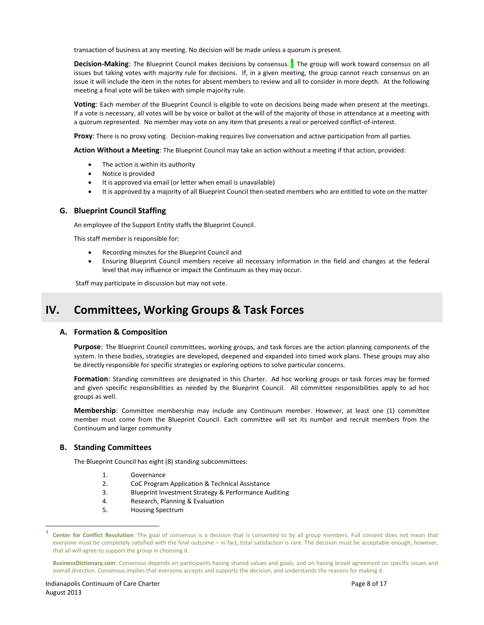transaction of business at any meeting. No decision will be made unless a quorum is present.

**Decision-Making**: The Blueprint Council makes decisions by consensus. **<sup>3</sup>** The group will work toward consensus on all issues but taking votes with majority rule for decisions. If, in a given meeting, the group cannot reach consensus on an issue it will include the item in the notes for absent members to review and all to consider in more depth. At the following meeting a final vote will be taken with simple majority rule.

**Voting**: Each member of the Blueprint Council is eligible to vote on decisions being made when present at the meetings. If a vote is necessary, all votes will be by voice or ballot at the will of the majority of those in attendance at a meeting with a quorum represented. No member may vote on any item that presents a real or perceived conflict-of-interest.

**Proxy**: There is no proxy voting. Decision-making requires live conversation and active participation from all parties.

**Action Without a Meeting**: The Blueprint Council may take an action without a meeting if that action, provided:

- The action is within its authority
- Notice is provided
- It is approved via email (or letter when email is unavailable)
- It is approved by a majority of all Blueprint Council then-seated members who are entitled to vote on the matter

## **G. Blueprint Council Staffing**

An employee of the Support Entity staffs the Blueprint Council.

This staff member is responsible for:

- Recording minutes for the Blueprint Council and
- Ensuring Blueprint Council members receive all necessary information in the field and changes at the federal level that may influence or impact the Continuum as they may occur.

Staff may participate in discussion but may not vote.

# **IV. Committees, Working Groups & Task Forces**

### **A. Formation & Composition**

**Purpose**: The Blueprint Council committees, working groups, and task forces are the action planning components of the system. In these bodies, strategies are developed, deepened and expanded into timed work plans. These groups may also be directly responsible for specific strategies or exploring options to solve particular concerns.

**Formation**: Standing committees are designated in this Charter. Ad hoc working groups or task forces may be formed and given specific responsibilities as needed by the Blueprint Council. All committee responsibilities apply to ad hoc groups as well.

**Membership**: Committee membership may include any Continuum member. However, at least one (1) committee member must come from the Blueprint Council. Each committee will set its number and recruit members from the Continuum and larger community

### **B. Standing Committees**

The Blueprint Council has eight (8) standing subcommittees:

- 1. Governance
- 2. CoC Program Application & Technical Assistance
- 3. Blueprint Investment Strategy & Performance Auditing
- 4. Research, Planning & Evaluation
- 5. Housing Spectrum

 $\overline{a}$ 

**<sup>3</sup> Center for Conflict Resolution**: The goal of consensus is a decision that is consented to by all group members. Full consent does not mean that everyone must be completely satisfied with the final outcome – in fact, total satisfaction is rare. The decision must be acceptable enough, however, that all will agree to support the group in choosing it.

**BusinessDictionary.com**: Consensus depends on participants having shared values and goals, and on having broad agreement on specific issues and overall direction. Consensus implies that everyone accepts and supports the decision, and understands the reasons for making it.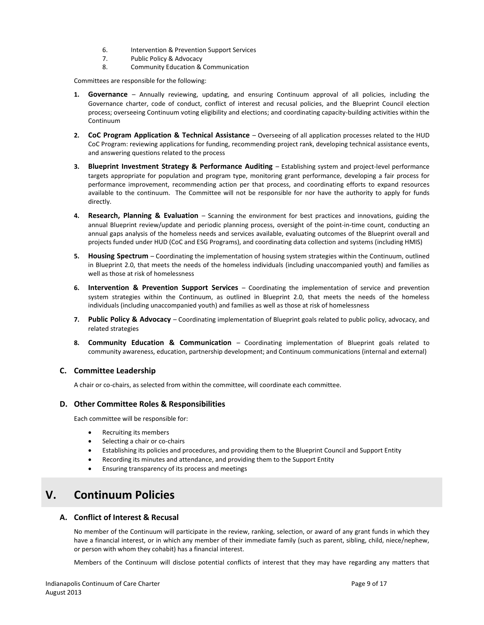- 6. Intervention & Prevention Support Services
- 7. Public Policy & Advocacy
- 8. Community Education & Communication

Committees are responsible for the following:

- **1. Governance** Annually reviewing, updating, and ensuring Continuum approval of all policies, including the Governance charter, code of conduct, conflict of interest and recusal policies, and the Blueprint Council election process; overseeing Continuum voting eligibility and elections; and coordinating capacity-building activities within the Continuum
- **2. CoC Program Application & Technical Assistance** Overseeing of all application processes related to the HUD CoC Program: reviewing applications for funding, recommending project rank, developing technical assistance events, and answering questions related to the process
- **3. Blueprint Investment Strategy & Performance Auditing** Establishing system and project-level performance targets appropriate for population and program type, monitoring grant performance, developing a fair process for performance improvement, recommending action per that process, and coordinating efforts to expand resources available to the continuum. The Committee will not be responsible for nor have the authority to apply for funds directly.
- **4. Research, Planning & Evaluation** Scanning the environment for best practices and innovations, guiding the annual Blueprint review/update and periodic planning process, oversight of the point-in-time count, conducting an annual gaps analysis of the homeless needs and services available, evaluating outcomes of the Blueprint overall and projects funded under HUD (CoC and ESG Programs), and coordinating data collection and systems (including HMIS)
- **5. Housing Spectrum** Coordinating the implementation of housing system strategies within the Continuum, outlined in Blueprint 2.0, that meets the needs of the homeless individuals (including unaccompanied youth) and families as well as those at risk of homelessness
- **6. Intervention & Prevention Support Services** Coordinating the implementation of service and prevention system strategies within the Continuum, as outlined in Blueprint 2.0, that meets the needs of the homeless individuals (including unaccompanied youth) and families as well as those at risk of homelessness
- **7. Public Policy & Advocacy** Coordinating implementation of Blueprint goals related to public policy, advocacy, and related strategies
- **8. Community Education & Communication** Coordinating implementation of Blueprint goals related to community awareness, education, partnership development; and Continuum communications (internal and external)

# **C. Committee Leadership**

A chair or co-chairs, as selected from within the committee, will coordinate each committee.

# **D. Other Committee Roles & Responsibilities**

Each committee will be responsible for:

- Recruiting its members
- Selecting a chair or co-chairs
- Establishing its policies and procedures, and providing them to the Blueprint Council and Support Entity
- Recording its minutes and attendance, and providing them to the Support Entity
- Ensuring transparency of its process and meetings

# **V. Continuum Policies**

# **A. Conflict of Interest & Recusal**

No member of the Continuum will participate in the review, ranking, selection, or award of any grant funds in which they have a financial interest, or in which any member of their immediate family (such as parent, sibling, child, niece/nephew, or person with whom they cohabit) has a financial interest.

Members of the Continuum will disclose potential conflicts of interest that they may have regarding any matters that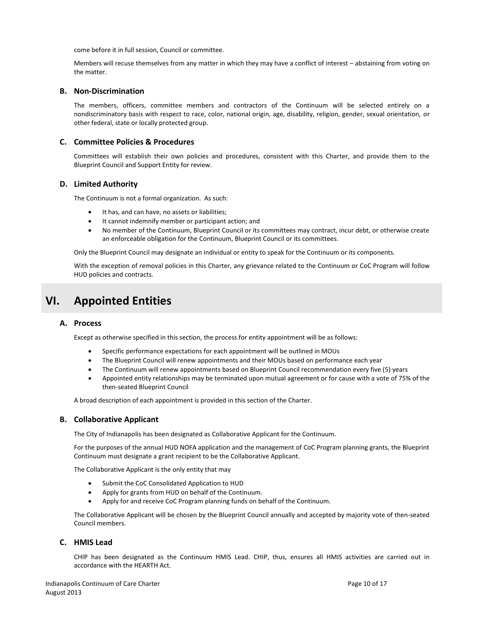come before it in full session, Council or committee.

Members will recuse themselves from any matter in which they may have a conflict of interest – abstaining from voting on the matter.

# **B. Non-Discrimination**

The members, officers, committee members and contractors of the Continuum will be selected entirely on a nondiscriminatory basis with respect to race, color, national origin, age, disability, religion, gender, sexual orientation, or other federal, state or locally protected group.

# **C. Committee Policies & Procedures**

Committees will establish their own policies and procedures, consistent with this Charter, and provide them to the Blueprint Council and Support Entity for review.

## **D. Limited Authority**

The Continuum is not a formal organization. As such:

- It has, and can have, no assets or liabilities;
- It cannot indemnify member or participant action; and
- No member of the Continuum, Blueprint Council or its committees may contract, incur debt, or otherwise create an enforceable obligation for the Continuum, Blueprint Council or its committees.

Only the Blueprint Council may designate an individual or entity to speak for the Continuum or its components.

With the exception of removal policies in this Charter, any grievance related to the Continuum or CoC Program will follow HUD policies and contracts.

# **VI. Appointed Entities**

# **A. Process**

Except as otherwise specified in this section, the process for entity appointment will be as follows:

- Specific performance expectations for each appointment will be outlined in MOUs
- The Blueprint Council will renew appointments and their MOUs based on performance each year
- The Continuum will renew appointments based on Blueprint Council recommendation every five (5) years
- Appointed entity relationships may be terminated upon mutual agreement or for cause with a vote of 75% of the then-seated Blueprint Council

A broad description of each appointment is provided in this section of the Charter.

# **B. Collaborative Applicant**

The City of Indianapolis has been designated as Collaborative Applicant for the Continuum.

For the purposes of the annual HUD NOFA application and the management of CoC Program planning grants, the Blueprint Continuum must designate a grant recipient to be the Collaborative Applicant.

The Collaborative Applicant is the only entity that may

- Submit the CoC Consolidated Application to HUD
- Apply for grants from HUD on behalf of the Continuum.
- Apply for and receive CoC Program planning funds on behalf of the Continuum.

The Collaborative Applicant will be chosen by the Blueprint Council annually and accepted by majority vote of then-seated Council members.

# **C. HMIS Lead**

CHIP has been designated as the Continuum HMIS Lead. CHIP, thus, ensures all HMIS activities are carried out in accordance with the HEARTH Act.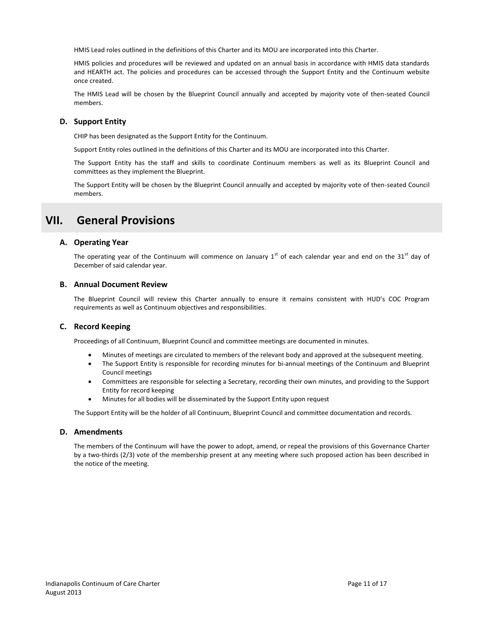HMIS Lead roles outlined in the definitions of this Charter and its MOU are incorporated into this Charter.

HMIS policies and procedures will be reviewed and updated on an annual basis in accordance with HMIS data standards and HEARTH act. The policies and procedures can be accessed through the Support Entity and the Continuum website once created.

The HMIS Lead will be chosen by the Blueprint Council annually and accepted by majority vote of then-seated Council members.

# **D. Support Entity**

CHIP has been designated as the Support Entity for the Continuum.

Support Entity roles outlined in the definitions of this Charter and its MOU are incorporated into this Charter.

The Support Entity has the staff and skills to coordinate Continuum members as well as its Blueprint Council and committees as they implement the Blueprint.

The Support Entity will be chosen by the Blueprint Council annually and accepted by majority vote of then-seated Council members.

# **VII. General Provisions**

# **A. Operating Year**

The operating year of the Continuum will commence on January  $1^{st}$  of each calendar year and end on the 31 $^{st}$  day of December of said calendar year.

## **B. Annual Document Review**

The Blueprint Council will review this Charter annually to ensure it remains consistent with HUD's COC Program requirements as well as Continuum objectives and responsibilities.

# **C. Record Keeping**

Proceedings of all Continuum, Blueprint Council and committee meetings are documented in minutes.

- Minutes of meetings are circulated to members of the relevant body and approved at the subsequent meeting.
- The Support Entity is responsible for recording minutes for bi-annual meetings of the Continuum and Blueprint Council meetings
- Committees are responsible for selecting a Secretary, recording their own minutes, and providing to the Support Entity for record keeping
- Minutes for all bodies will be disseminated by the Support Entity upon request

The Support Entity will be the holder of all Continuum, Blueprint Council and committee documentation and records.

# **D. Amendments**

The members of the Continuum will have the power to adopt, amend, or repeal the provisions of this Governance Charter by a two-thirds (2/3) vote of the membership present at any meeting where such proposed action has been described in the notice of the meeting.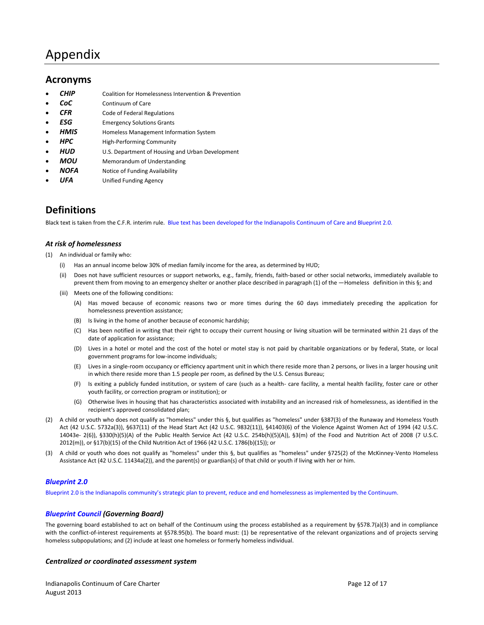# Appendix

# **Acronyms**

- *CHIP* Coalition for Homelessness Intervention & Prevention
- *CoC* Continuum of Care
- **CFR** Code of Federal Regulations
- **ESG** Emergency Solutions Grants
- **HMIS** Homeless Management Information System
- **HPC** High-Performing Community
- **HUD** U.S. Department of Housing and Urban Development
- *MOU* Memorandum of Understanding
- *NOFA* Notice of Funding Availability
- **UFA** Unified Funding Agency

# **Definitions**

Black text is taken from the C.F.R. interim rule. Blue text has been developed for the Indianapolis Continuum of Care and Blueprint 2.0.

# *At risk of homelessness*

- (1) An individual or family who:
	- (i) Has an annual income below 30% of median family income for the area, as determined by HUD;
	- (ii) Does not have sufficient resources or support networks, e.g., family, friends, faith-based or other social networks, immediately available to prevent them from moving to an emergency shelter or another place described in paragraph (1) of the —Homeless definition in this §; and
	- (iii) Meets one of the following conditions:
		- (A) Has moved because of economic reasons two or more times during the 60 days immediately preceding the application for homelessness prevention assistance;
		- (B) Is living in the home of another because of economic hardship;
		- (C) Has been notified in writing that their right to occupy their current housing or living situation will be terminated within 21 days of the date of application for assistance;
		- (D) Lives in a hotel or motel and the cost of the hotel or motel stay is not paid by charitable organizations or by federal, State, or local government programs for low-income individuals;
		- (E) Lives in a single-room occupancy or efficiency apartment unit in which there reside more than 2 persons, or lives in a larger housing unit in which there reside more than 1.5 people per room, as defined by the U.S. Census Bureau;
		- (F) Is exiting a publicly funded institution, or system of care (such as a health- care facility, a mental health facility, foster care or other youth facility, or correction program or institution); or
		- (G) Otherwise lives in housing that has characteristics associated with instability and an increased risk of homelessness, as identified in the recipient's approved consolidated plan;
- (2) A child or youth who does not qualify as "homeless" under this §, but qualifies as "homeless" under §387(3) of the Runaway and Homeless Youth Act (42 U.S.C. 5732a(3)), §637(11) of the Head Start Act (42 U.S.C. 9832(11)), §41403(6) of the Violence Against Women Act of 1994 (42 U.S.C. 14043e- 2(6)), §330(h)(5)(A) of the Public Health Service Act (42 U.S.C. 254b(h)(5)(A)), §3(m) of the Food and Nutrition Act of 2008 (7 U.S.C. 2012(m)), or §17(b)(15) of the Child Nutrition Act of 1966 (42 U.S.C. 1786(b)(15)); or
- (3) A child or youth who does not qualify as "homeless" under this §, but qualifies as "homeless" under §725(2) of the McKinney-Vento Homeless Assistance Act (42 U.S.C. 11434a(2)), and the parent(s) or guardian(s) of that child or youth if living with her or him.

# *Blueprint 2.0*

Blueprint 2.0 is the Indianapolis community's strategic plan to prevent, reduce and end homelessness as implemented by the Continuum.

# *Blueprint Council (Governing Board)*

The governing board established to act on behalf of the Continuum using the process established as a requirement by §578.7(a)(3) and in compliance with the conflict-of-interest requirements at §578.95(b). The board must: (1) be representative of the relevant organizations and of projects serving homeless subpopulations; and (2) include at least one homeless or formerly homeless individual.

### *Centralized or coordinated assessment system*

Indianapolis Continuum of Care Charter **Page 12 of 17** and 17 and 17 and 17 and 17 and 17 and 17 and 17 and 17 and 17 and 17 and 17 and 17 and 17 and 17 and 17 and 17 and 17 and 17 and 17 and 17 and 17 and 17 and 17 and 17 August 2013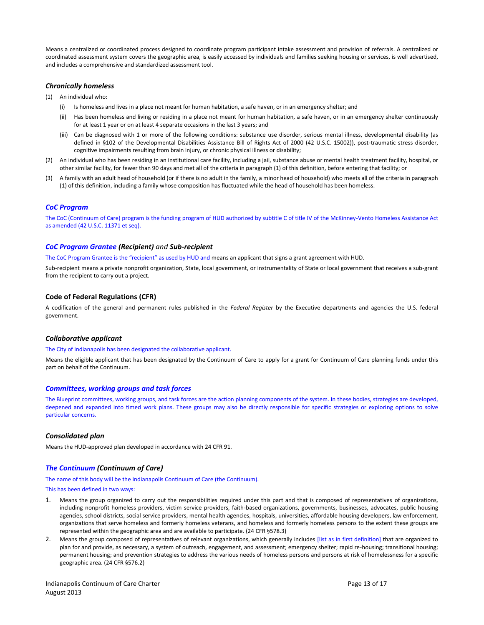Means a centralized or coordinated process designed to coordinate program participant intake assessment and provision of referrals. A centralized or coordinated assessment system covers the geographic area, is easily accessed by individuals and families seeking housing or services, is well advertised, and includes a comprehensive and standardized assessment tool.

## *Chronically homeless*

- (1) An individual who:
	- (i) Is homeless and lives in a place not meant for human habitation, a safe haven, or in an emergency shelter; and
	- (ii) Has been homeless and living or residing in a place not meant for human habitation, a safe haven, or in an emergency shelter continuously for at least 1 year or on at least 4 separate occasions in the last 3 years; and
	- (iii) Can be diagnosed with 1 or more of the following conditions: substance use disorder, serious mental illness, developmental disability (as defined in §102 of the Developmental Disabilities Assistance Bill of Rights Act of 2000 (42 U.S.C. 15002)), post-traumatic stress disorder, cognitive impairments resulting from brain injury, or chronic physical illness or disability;
- (2) An individual who has been residing in an institutional care facility, including a jail, substance abuse or mental health treatment facility, hospital, or other similar facility, for fewer than 90 days and met all of the criteria in paragraph (1) of this definition, before entering that facility; or
- (3) A family with an adult head of household (or if there is no adult in the family, a minor head of household) who meets all of the criteria in paragraph (1) of this definition, including a family whose composition has fluctuated while the head of household has been homeless.

### *CoC Program*

The CoC (Continuum of Care) program is the funding program of HUD authorized by subtitle C of title IV of the McKinney-Vento Homeless Assistance Act as amended (42 U.S.C. 11371 et seq).

### *CoC Program Grantee (Recipient) and Sub-recipient*

The CoC Program Grantee is the "recipient" as used by HUD and means an applicant that signs a grant agreement with HUD.

Sub-recipient means a private nonprofit organization, State, local government, or instrumentality of State or local government that receives a sub-grant from the recipient to carry out a project.

## **Code of Federal Regulations (CFR)**

A codification of the general and permanent rules published in the *Federal Register* by the Executive departments and agencies the U.S. federal government.

### *Collaborative applicant*

#### The City of Indianapolis has been designated the collaborative applicant.

Means the eligible applicant that has been designated by the Continuum of Care to apply for a grant for Continuum of Care planning funds under this part on behalf of the Continuum.

### *Committees, working groups and task forces*

The Blueprint committees, working groups, and task forces are the action planning components of the system. In these bodies, strategies are developed, deepened and expanded into timed work plans. These groups may also be directly responsible for specific strategies or exploring options to solve particular concerns.

### *Consolidated plan*

Means the HUD-approved plan developed in accordance with 24 CFR 91.

### *The Continuum (Continuum of Care)*

The name of this body will be the Indianapolis Continuum of Care (the Continuum).

#### This has been defined in two ways:

- 1. Means the group organized to carry out the responsibilities required under this part and that is composed of representatives of organizations, including nonprofit homeless providers, victim service providers, faith-based organizations, governments, businesses, advocates, public housing agencies, school districts, social service providers, mental health agencies, hospitals, universities, affordable housing developers, law enforcement, organizations that serve homeless and formerly homeless veterans, and homeless and formerly homeless persons to the extent these groups are represented within the geographic area and are available to participate. (24 CFR §578.3)
- 2. Means the group composed of representatives of relevant organizations, which generally includes [list as in first definition] that are organized to plan for and provide, as necessary, a system of outreach, engagement, and assessment; emergency shelter; rapid re-housing; transitional housing; permanent housing; and prevention strategies to address the various needs of homeless persons and persons at risk of homelessness for a specific geographic area. (24 CFR §576.2)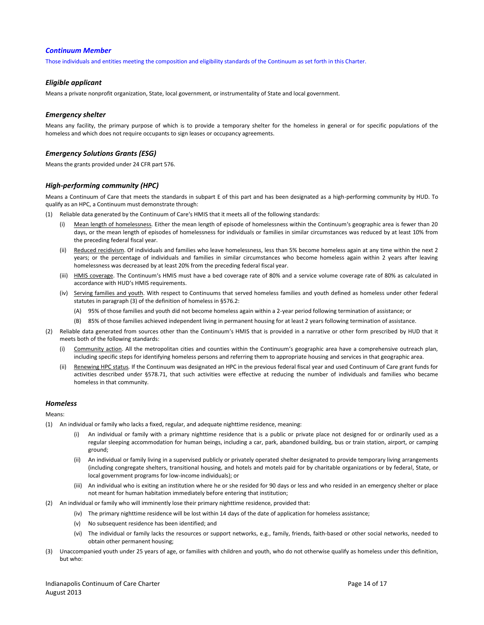#### *Continuum Member*

Those individuals and entities meeting the composition and eligibility standards of the Continuum as set forth in this Charter.

#### *Eligible applicant*

Means a private nonprofit organization, State, local government, or instrumentality of State and local government.

#### *Emergency shelter*

Means any facility, the primary purpose of which is to provide a temporary shelter for the homeless in general or for specific populations of the homeless and which does not require occupants to sign leases or occupancy agreements.

### *Emergency Solutions Grants (ESG)*

Means the grants provided under 24 CFR part 576.

## *High-performing community (HPC)*

Means a Continuum of Care that meets the standards in subpart E of this part and has been designated as a high-performing community by HUD. To qualify as an HPC, a Continuum must demonstrate through:

- (1) Reliable data generated by the Continuum of Care's HMIS that it meets all of the following standards:
	- (i) Mean length of homelessness*.* Either the mean length of episode of homelessness within the Continuum's geographic area is fewer than 20 days, or the mean length of episodes of homelessness for individuals or families in similar circumstances was reduced by at least 10% from the preceding federal fiscal year.
	- (ii) Reduced recidivism. Of individuals and families who leave homelessness, less than 5% become homeless again at any time within the next 2 years; or the percentage of individuals and families in similar circumstances who become homeless again within 2 years after leaving homelessness was decreased by at least 20% from the preceding federal fiscal year.
	- (iii) HMIS coverage. The Continuum's HMIS must have a bed coverage rate of 80% and a service volume coverage rate of 80% as calculated in accordance with HUD's HMIS requirements.
	- (iv) Serving families and youth. With respect to Continuums that served homeless families and youth defined as homeless under other federal statutes in paragraph (3) of the definition of homeless in §576.2:
		- (A) 95% of those families and youth did not become homeless again within a 2-year period following termination of assistance; or
		- (B) 85% of those families achieved independent living in permanent housing for at least 2 years following termination of assistance.
- (2) Reliable data generated from sources other than the Continuum's HMIS that is provided in a narrative or other form prescribed by HUD that it meets both of the following standards:
	- Community action. All the metropolitan cities and counties within the Continuum's geographic area have a comprehensive outreach plan, including specific steps for identifying homeless persons and referring them to appropriate housing and services in that geographic area.
	- (ii) Renewing HPC status*.* If the Continuum was designated an HPC in the previous federal fiscal year and used Continuum of Care grant funds for activities described under §578.71, that such activities were effective at reducing the number of individuals and families who became homeless in that community.

### *Homeless*

Means:

- (1) An individual or family who lacks a fixed, regular, and adequate nighttime residence, meaning:
	- An individual or family with a primary nighttime residence that is a public or private place not designed for or ordinarily used as a regular sleeping accommodation for human beings, including a car, park, abandoned building, bus or train station, airport, or camping ground;
	- (ii) An individual or family living in a supervised publicly or privately operated shelter designated to provide temporary living arrangements (including congregate shelters, transitional housing, and hotels and motels paid for by charitable organizations or by federal, State, or local government programs for low-income individuals); or
	- (iii) An individual who is exiting an institution where he or she resided for 90 days or less and who resided in an emergency shelter or place not meant for human habitation immediately before entering that institution;
- (2) An individual or family who will imminently lose their primary nighttime residence, provided that:
	- (iv) The primary nighttime residence will be lost within 14 days of the date of application for homeless assistance;
	- (v) No subsequent residence has been identified; and
	- (vi) The individual or family lacks the resources or support networks, e.g., family, friends, faith-based or other social networks, needed to obtain other permanent housing;
- (3) Unaccompanied youth under 25 years of age, or families with children and youth, who do not otherwise qualify as homeless under this definition, but who: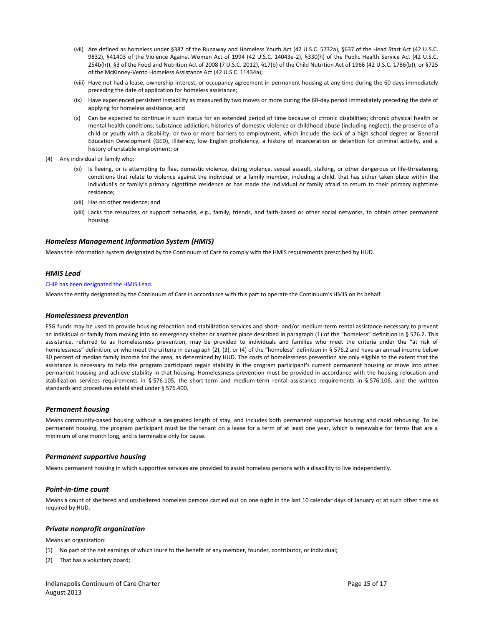- (vii) Are defined as homeless under §387 of the Runaway and Homeless Youth Act (42 U.S.C. 5732a), §637 of the Head Start Act (42 U.S.C. 9832), §41403 of the Violence Against Women Act of 1994 (42 U.S.C. 14043e-2), §330(h) of the Public Health Service Act (42 U.S.C. 254b(h)), §3 of the Food and Nutrition Act of 2008 (7 U.S.C. 2012), §17(b) of the Child Nutrition Act of 1966 (42 U.S.C. 1786(b)), or §725 of the McKinney-Vento Homeless Assistance Act (42 U.S.C. 11434a);
- (viii) Have not had a lease, ownership interest, or occupancy agreement in permanent housing at any time during the 60 days immediately preceding the date of application for homeless assistance;
- (ix) Have experienced persistent instability as measured by two moves or more during the 60-day period immediately preceding the date of applying for homeless assistance; and
- (x) Can be expected to continue in such status for an extended period of time because of chronic disabilities; chronic physical health or mental health conditions; substance addiction; histories of domestic violence or childhood abuse (including neglect); the presence of a child or youth with a disability; or two or more barriers to employment, which include the lack of a high school degree or General Education Development (GED), illiteracy, low English proficiency, a history of incarceration or detention for criminal activity, and a history of unstable employment; or
- (4) Any individual or family who:
	- (xi) Is fleeing, or is attempting to flee, domestic violence, dating violence, sexual assault, stalking, or other dangerous or life-threatening conditions that relate to violence against the individual or a family member, including a child, that has either taken place within the individual's or family's primary nighttime residence or has made the individual or family afraid to return to their primary nighttime residence;
	- (xii) Has no other residence; and
	- (xiii) Lacks the resources or support networks, e.g., family, friends, and faith-based or other social networks, to obtain other permanent housing.

## *Homeless Management Information System (HMIS)*

Means the information system designated by the Continuum of Care to comply with the HMIS requirements prescribed by HUD.

### *HMIS Lead*

#### CHIP has been designated the HMIS Lead.

Means the entity designated by the Continuum of Care in accordance with this part to operate the Continuum's HMIS on its behalf.

#### *Homelessness prevention*

ESG funds may be used to provide housing relocation and stabilization services and short- and/or medium-term rental assistance necessary to prevent an individual or family from moving into an emergency shelter or another place described in paragraph (1) of the "homeless" definition in § 576.2. This assistance, referred to as homelessness prevention, may be provided to individuals and families who meet the criteria under the "at risk of homelessness" definition, or who meet the criteria in paragraph (2), (3), or (4) of the "homeless" definition in § 576.2 and have an annual income below 30 percent of median family income for the area, as determined by HUD. The costs of homelessness prevention are only eligible to the extent that the assistance is necessary to help the program participant regain stability in the program participant's current permanent housing or move into other permanent housing and achieve stability in that housing. Homelessness prevention must be provided in accordance with the housing relocation and stabilization services requirements in § 576.105, the short-term and medium-term rental assistance requirements in § 576.106, and the written standards and procedures established under § 576.400.

### *Permanent housing*

Means community-based housing without a designated length of stay, and includes both permanent supportive housing and rapid rehousing. To be permanent housing, the program participant must be the tenant on a lease for a term of at least one year, which is renewable for terms that are a minimum of one month long, and is terminable only for cause.

### *Permanent supportive housing*

Means permanent housing in which supportive services are provided to assist homeless persons with a disability to live independently.

### *Point-in-time count*

Means a count of sheltered and unsheltered homeless persons carried out on one night in the last 10 calendar days of January or at such other time as required by HUD.

## *Private nonprofit organization*

Means an organization:

- (1) No part of the net earnings of which inure to the benefit of any member, founder, contributor, or individual;
- (2) That has a voluntary board;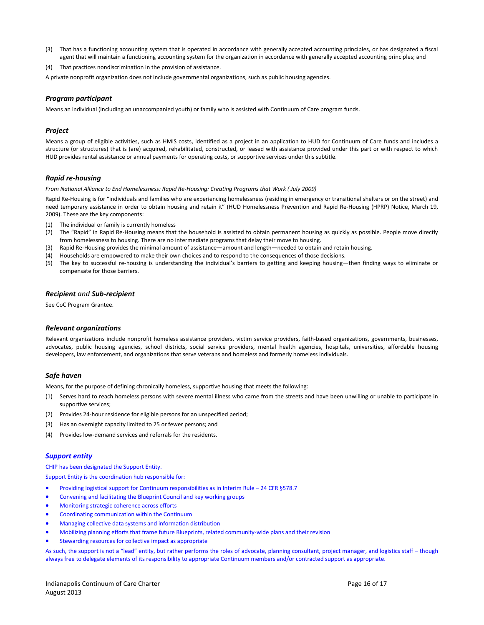- (3) That has a functioning accounting system that is operated in accordance with generally accepted accounting principles, or has designated a fiscal agent that will maintain a functioning accounting system for the organization in accordance with generally accepted accounting principles; and
- (4) That practices nondiscrimination in the provision of assistance.

A private nonprofit organization does not include governmental organizations, such as public housing agencies.

### *Program participant*

Means an individual (including an unaccompanied youth) or family who is assisted with Continuum of Care program funds.

### *Project*

Means a group of eligible activities, such as HMIS costs, identified as a project in an application to HUD for Continuum of Care funds and includes a structure (or structures) that is (are) acquired, rehabilitated, constructed, or leased with assistance provided under this part or with respect to which HUD provides rental assistance or annual payments for operating costs, or supportive services under this subtitle.

## *Rapid re-housing*

*From National Alliance to End Homelessness: Rapid Re-Housing: Creating Programs that Work ( July 2009)*

Rapid Re-Housing is for "individuals and families who are experiencing homelessness (residing in emergency or transitional shelters or on the street) and need temporary assistance in order to obtain housing and retain it" (HUD Homelessness Prevention and Rapid Re-Housing (HPRP) Notice, March 19, 2009). These are the key components:

- (1) The individual or family is currently homeless
- (2) The "Rapid" in Rapid Re-Housing means that the household is assisted to obtain permanent housing as quickly as possible. People move directly from homelessness to housing. There are no intermediate programs that delay their move to housing.
- (3) Rapid Re-Housing provides the minimal amount of assistance—amount and length—needed to obtain and retain housing.
- (4) Households are empowered to make their own choices and to respond to the consequences of those decisions.
- (5) The key to successful re-housing is understanding the individual's barriers to getting and keeping housing—then finding ways to eliminate or compensate for those barriers.

### *Recipient and Sub-recipient*

See CoC Program Grantee.

#### *Relevant organizations*

Relevant organizations include nonprofit homeless assistance providers, victim service providers, faith-based organizations, governments, businesses, advocates, public housing agencies, school districts, social service providers, mental health agencies, hospitals, universities, affordable housing developers, law enforcement, and organizations that serve veterans and homeless and formerly homeless individuals.

### *Safe haven*

Means, for the purpose of defining chronically homeless, supportive housing that meets the following:

- (1) Serves hard to reach homeless persons with severe mental illness who came from the streets and have been unwilling or unable to participate in supportive services;
- (2) Provides 24-hour residence for eligible persons for an unspecified period;
- (3) Has an overnight capacity limited to 25 or fewer persons; and
- (4) Provides low-demand services and referrals for the residents.

### *Support entity*

CHIP has been designated the Support Entity.

Support Entity is the coordination hub responsible for:

- Providing logistical support for Continuum responsibilities as in Interim Rule 24 CFR §578.7
- Convening and facilitating the Blueprint Council and key working groups
- Monitoring strategic coherence across efforts
- Coordinating communication within the Continuum
- Managing collective data systems and information distribution
- Mobilizing planning efforts that frame future Blueprints, related community-wide plans and their revision
- Stewarding resources for collective impact as appropriate

As such, the support is not a "lead" entity, but rather performs the roles of advocate, planning consultant, project manager, and logistics staff – though always free to delegate elements of its responsibility to appropriate Continuum members and/or contracted support as appropriate.